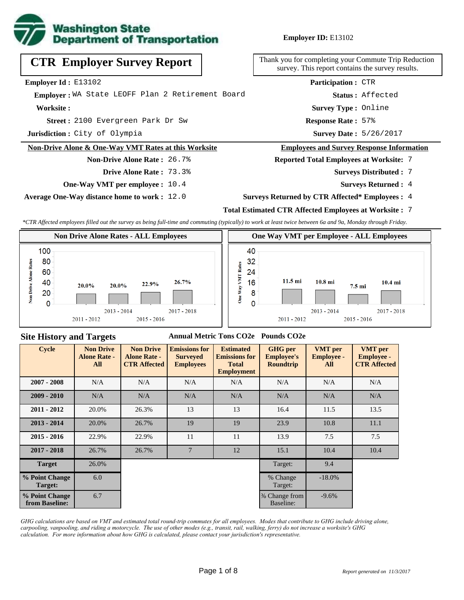

**Employer ID:** E13102

| <b>CTR Employer Survey Report</b>                    | Thank you for completing your Commute Trip<br>survey. This report contains the survey re |
|------------------------------------------------------|------------------------------------------------------------------------------------------|
| Employer Id: E13102                                  | <b>Participation: CTR</b>                                                                |
| Emplover: WA State LEOFF Plan 2 Retirement Board     | Status: Affected                                                                         |
| Worksite:                                            | Survey Type: Online                                                                      |
| Street: 2100 Evergreen Park Dr Sw                    | <b>Response Rate: 57%</b>                                                                |
| <b>Jurisdiction:</b> City of Olympia                 | Survey Date: 5/26/2017                                                                   |
| Non-Drive Alone & One-Way VMT Rates at this Worksite | <b>Employees and Survey Response Info</b>                                                |
| <b>Non-Drive Alone Rate: 26.7%</b>                   | <b>Reported Total Employees at Worksite:</b>                                             |

**Drive Alone Rate :** 73.3%

**One-Way VMT per employee :** 10.4

**Average One-Way distance home to work :** 12.0

completing your Commute Trip Reduction This report contains the survey results.

#### **Frees and Survey Response Information**

**Total Employees at Worksite: 7** 

- 7 **Surveys Distributed :**
	- **Surveys Returned :** 4

### **Surveys Returned by CTR Affected\* Employees :** 4

### **Total Estimated CTR Affected Employees at Worksite :** 7

*\*CTR Affected employees filled out the survey as being full-time and commuting (typically) to work at least twice between 6a and 9a, Monday through Friday.*



### **Site History and Targets**

### **Annual Metric Tons CO2e Pounds CO2e**

| <b>Cycle</b>                     | <b>Non Drive</b><br><b>Alone Rate -</b><br>All | <b>Non Drive</b><br><b>Alone Rate -</b><br><b>CTR Affected</b> | <b>Emissions for</b><br><b>Surveyed</b><br><b>Employees</b> | <b>Estimated</b><br><b>Emissions for</b><br><b>Total</b><br><b>Employment</b> | <b>GHG</b> per<br><b>Employee's</b><br><b>Roundtrip</b> | <b>VMT</b> per<br><b>Employee -</b><br>All | <b>VMT</b> per<br><b>Employee -</b><br><b>CTR Affected</b> |
|----------------------------------|------------------------------------------------|----------------------------------------------------------------|-------------------------------------------------------------|-------------------------------------------------------------------------------|---------------------------------------------------------|--------------------------------------------|------------------------------------------------------------|
| $2007 - 2008$                    | N/A                                            | N/A                                                            | N/A                                                         | N/A                                                                           |                                                         | N/A                                        | N/A                                                        |
| $2009 - 2010$                    | N/A                                            | N/A                                                            | N/A                                                         | N/A                                                                           | N/A                                                     | N/A                                        | N/A                                                        |
| $2011 - 2012$                    | 20.0%                                          | 26.3%                                                          | 13                                                          | 13                                                                            | 16.4                                                    | 11.5                                       | 13.5                                                       |
| $2013 - 2014$                    | 20.0%                                          | 26.7%                                                          | 19                                                          | 19                                                                            | 23.9                                                    | 10.8                                       | 11.1                                                       |
| $2015 - 2016$                    | 22.9%                                          | 22.9%                                                          | 11                                                          | 11                                                                            | 13.9                                                    | 7.5                                        | 7.5                                                        |
| $2017 - 2018$                    | 26.7%                                          | 26.7%                                                          | $\overline{7}$                                              | 12                                                                            | 15.1                                                    | 10.4                                       | 10.4                                                       |
| <b>Target</b>                    | 26.0%                                          |                                                                |                                                             |                                                                               | Target:                                                 | 9.4                                        |                                                            |
| % Point Change<br>Target:        | 6.0                                            |                                                                |                                                             |                                                                               | % Change<br>Target:                                     | $-18.0\%$                                  |                                                            |
| % Point Change<br>from Baseline: | 6.7                                            |                                                                |                                                             |                                                                               | % Change from<br>Baseline:                              | $-9.6%$                                    |                                                            |

*GHG calculations are based on VMT and estimated total round-trip commutes for all employees. Modes that contribute to GHG include driving alone, carpooling, vanpooling, and riding a motorcycle. The use of other modes (e.g., transit, rail, walking, ferry) do not increase a worksite's GHG calculation. For more information about how GHG is calculated, please contact your jurisdiction's representative.*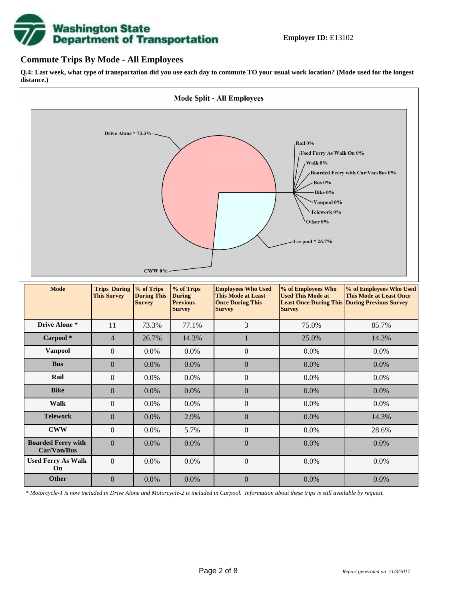

## **Commute Trips By Mode - All Employees**

**Q.4: Last week, what type of transportation did you use each day to commute TO your usual work location? (Mode used for the longest distance.)**



*\* Motorcycle-1 is now included in Drive Alone and Motorcycle-2 is included in Carpool. Information about these trips is still available by request.*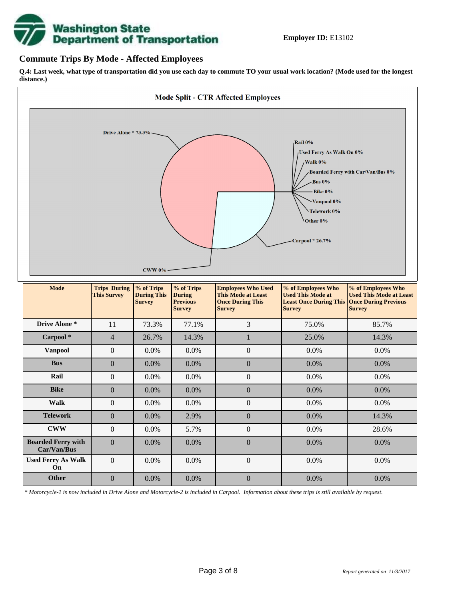

## **Commute Trips By Mode - Affected Employees**

**Q.4: Last week, what type of transportation did you use each day to commute TO your usual work location? (Mode used for the longest distance.)**



*\* Motorcycle-1 is now included in Drive Alone and Motorcycle-2 is included in Carpool. Information about these trips is still available by request.*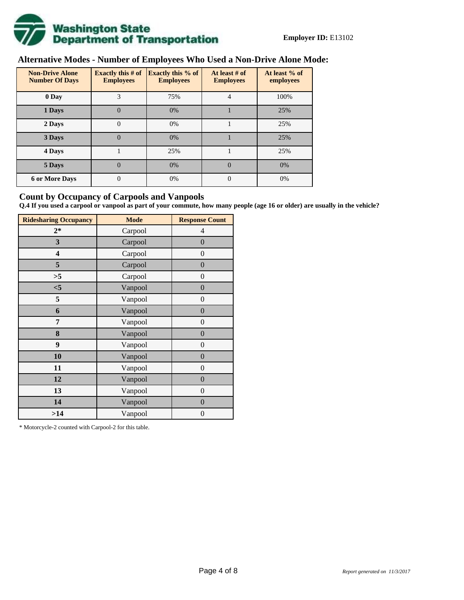

# **Alternative Modes - Number of Employees Who Used a Non-Drive Alone Mode:**

| <b>Non-Drive Alone</b><br><b>Number Of Days</b> | Exactly this $# of$<br><b>Employees</b> | <b>Exactly this % of</b><br><b>Employees</b> | At least # of<br><b>Employees</b> | At least % of<br>employees |
|-------------------------------------------------|-----------------------------------------|----------------------------------------------|-----------------------------------|----------------------------|
| 0 Day                                           | 3                                       | 75%                                          | 4                                 | 100%                       |
| 1 Days                                          | 0                                       | 0%                                           |                                   | 25%                        |
| 2 Days                                          | 0                                       | 0%                                           |                                   | 25%                        |
| 3 Days                                          | 0                                       | 0%                                           |                                   | 25%                        |
| 4 Days                                          |                                         | 25%                                          |                                   | 25%                        |
| 5 Days                                          | $\theta$                                | 0%                                           | $\Omega$                          | 0%                         |
| <b>6 or More Days</b>                           | $\overline{0}$                          | 0%                                           | $\Omega$                          | 0%                         |

## **Count by Occupancy of Carpools and Vanpools**

**Q.4 If you used a carpool or vanpool as part of your commute, how many people (age 16 or older) are usually in the vehicle?**

| <b>Ridesharing Occupancy</b> | <b>Mode</b> | <b>Response Count</b> |
|------------------------------|-------------|-----------------------|
| $2*$                         | Carpool     | 4                     |
| 3                            | Carpool     | $\boldsymbol{0}$      |
| 4                            | Carpool     | $\boldsymbol{0}$      |
| 5                            | Carpool     | $\boldsymbol{0}$      |
| >5                           | Carpool     | $\overline{0}$        |
| $<$ 5                        | Vanpool     | $\overline{0}$        |
| 5                            | Vanpool     | $\boldsymbol{0}$      |
| 6                            | Vanpool     | $\boldsymbol{0}$      |
| 7                            | Vanpool     | $\boldsymbol{0}$      |
| 8                            | Vanpool     | $\boldsymbol{0}$      |
| 9                            | Vanpool     | $\boldsymbol{0}$      |
| 10                           | Vanpool     | $\overline{0}$        |
| 11                           | Vanpool     | $\overline{0}$        |
| 12                           | Vanpool     | $\boldsymbol{0}$      |
| 13                           | Vanpool     | $\boldsymbol{0}$      |
| 14                           | Vanpool     | $\overline{0}$        |
| >14                          | Vanpool     | $\boldsymbol{0}$      |

\* Motorcycle-2 counted with Carpool-2 for this table.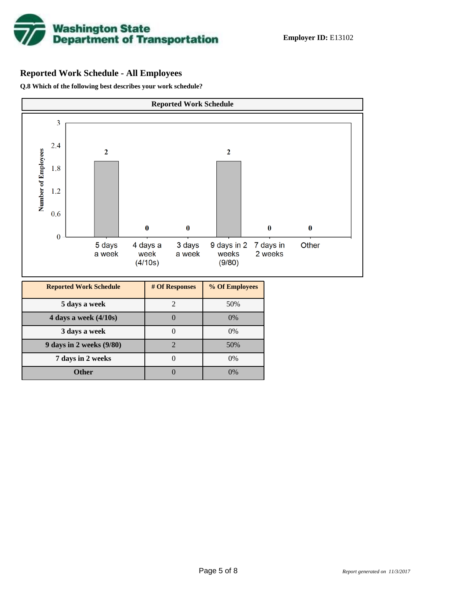

# **Reported Work Schedule - All Employees**

**Q.8 Which of the following best describes your work schedule?**

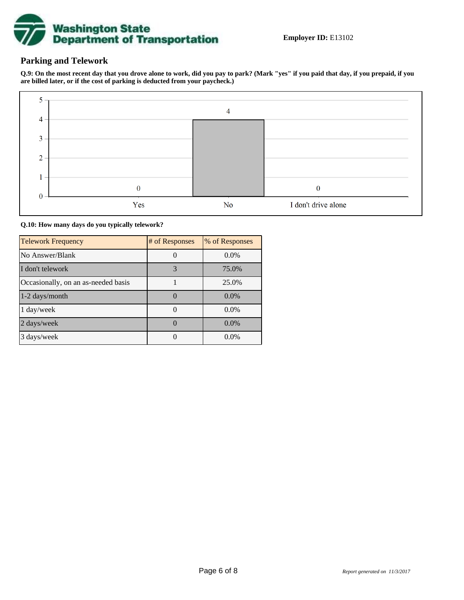

# **Parking and Telework**

**Q.9: On the most recent day that you drove alone to work, did you pay to park? (Mark "yes" if you paid that day, if you prepaid, if you are billed later, or if the cost of parking is deducted from your paycheck.)**



#### **Q.10: How many days do you typically telework?**

| <b>Telework Frequency</b>           | # of Responses | % of Responses |
|-------------------------------------|----------------|----------------|
| No Answer/Blank                     |                | $0.0\%$        |
| I don't telework                    | 3              | 75.0%          |
| Occasionally, on an as-needed basis |                | 25.0%          |
| $1-2$ days/month                    |                | $0.0\%$        |
| 1 day/week                          |                | $0.0\%$        |
| 2 days/week                         |                | 0.0%           |
| 3 days/week                         |                | $0.0\%$        |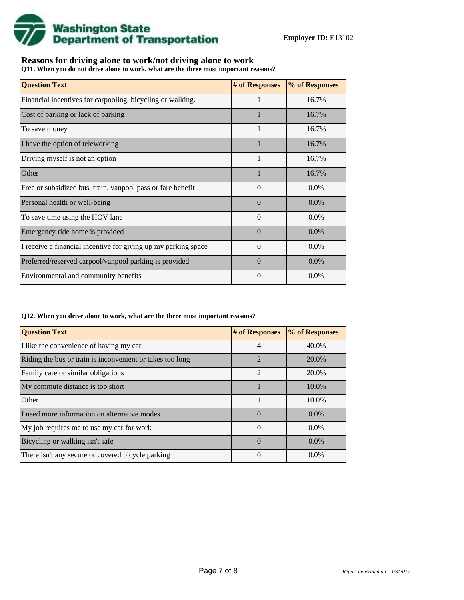

## **Reasons for driving alone to work/not driving alone to work**

**Q11. When you do not drive alone to work, what are the three most important reasons?**

| <b>Question Text</b>                                           | # of Responses | % of Responses |
|----------------------------------------------------------------|----------------|----------------|
| Financial incentives for carpooling, bicycling or walking.     | 1              | 16.7%          |
| Cost of parking or lack of parking                             |                | 16.7%          |
| To save money                                                  | 1              | 16.7%          |
| I have the option of teleworking                               |                | 16.7%          |
| Driving myself is not an option                                |                | 16.7%          |
| Other                                                          |                | 16.7%          |
| Free or subsidized bus, train, vanpool pass or fare benefit    | $\Omega$       | $0.0\%$        |
| Personal health or well-being                                  | $\Omega$       | $0.0\%$        |
| To save time using the HOV lane                                | $\Omega$       | 0.0%           |
| Emergency ride home is provided                                | $\Omega$       | $0.0\%$        |
| I receive a financial incentive for giving up my parking space | $\Omega$       | 0.0%           |
| Preferred/reserved carpool/vanpool parking is provided         | $\Omega$       | $0.0\%$        |
| Environmental and community benefits                           | $\Omega$       | $0.0\%$        |

#### **Q12. When you drive alone to work, what are the three most important reasons?**

| <b>Question Text</b>                                      | # of Responses | % of Responses |
|-----------------------------------------------------------|----------------|----------------|
| I like the convenience of having my car                   | 4              | 40.0%          |
| Riding the bus or train is inconvenient or takes too long | $\mathfrak{D}$ | 20.0%          |
| Family care or similar obligations                        | $\mathfrak{D}$ | 20.0%          |
| My commute distance is too short                          |                | 10.0%          |
| Other                                                     |                | 10.0%          |
| I need more information on alternative modes              | $\Omega$       | $0.0\%$        |
| My job requires me to use my car for work                 | $\Omega$       | $0.0\%$        |
| Bicycling or walking isn't safe                           | $\Omega$       | $0.0\%$        |
| There isn't any secure or covered bicycle parking         | $\theta$       | $0.0\%$        |